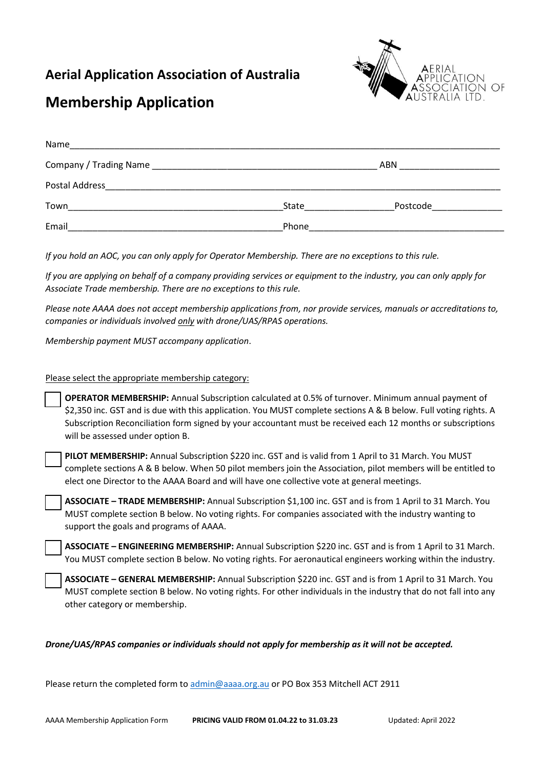### **Aerial Application Association of Australia**



# **Membership Application**

| Name           |       |          |  |
|----------------|-------|----------|--|
|                |       | ABN      |  |
| Postal Address |       |          |  |
| Town           | State | Postcode |  |
| Email          | Phone |          |  |

*If you hold an AOC, you can only apply for Operator Membership. There are no exceptions to this rule.* 

*If you are applying on behalf of a company providing services or equipment to the industry, you can only apply for Associate Trade membership. There are no exceptions to this rule.*

*Please note AAAA does not accept membership applications from, nor provide services, manuals or accreditations to, companies or individuals involved only with drone/UAS/RPAS operations.*

*Membership payment MUST accompany application*.

#### Please select the appropriate membership category:

**OPERATOR MEMBERSHIP:** Annual Subscription calculated at 0.5% of turnover. Minimum annual payment of \$2,350 inc. GST and is due with this application. You MUST complete sections A & B below. Full voting rights. A Subscription Reconciliation form signed by your accountant must be received each 12 months or subscriptions will be assessed under option B.

**PILOT MEMBERSHIP:** Annual Subscription \$220 inc. GST and is valid from 1 April to 31 March. You MUST complete sections A & B below. When 50 pilot members join the Association, pilot members will be entitled to elect one Director to the AAAA Board and will have one collective vote at general meetings.

**ASSOCIATE – TRADE MEMBERSHIP:** Annual Subscription \$1,100 inc. GST and is from 1 April to 31 March. You MUST complete section B below. No voting rights. For companies associated with the industry wanting to support the goals and programs of AAAA.

**ASSOCIATE – ENGINEERING MEMBERSHIP:** Annual Subscription \$220 inc. GST and is from 1 April to 31 March. You MUST complete section B below. No voting rights. For aeronautical engineers working within the industry.

**ASSOCIATE – GENERAL MEMBERSHIP:** Annual Subscription \$220 inc. GST and is from 1 April to 31 March. You MUST complete section B below. No voting rights. For other individuals in the industry that do not fall into any other category or membership.

#### *Drone/UAS/RPAS companies or individuals should not apply for membership as it will not be accepted.*

Please return the completed form to [admin@aaaa.org.au](mailto:admin@aaaa.org.au) or PO Box 353 Mitchell ACT 2911